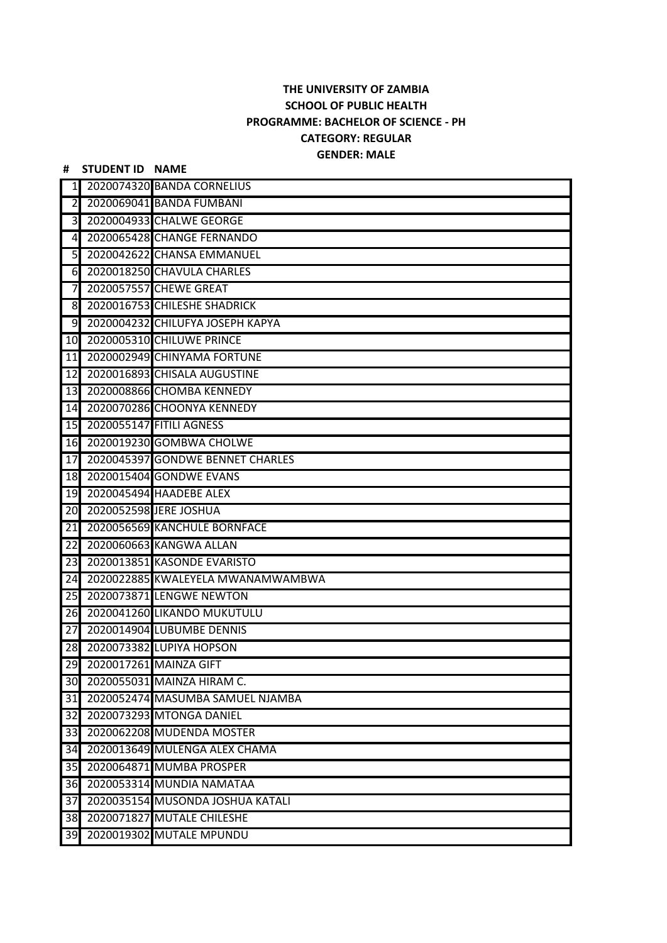## **THE UNIVERSITY OF ZAMBIA SCHOOL OF PUBLIC HEALTH PROGRAMME: BACHELOR OF SCIENCE - PH CATEGORY: REGULAR GENDER: MALE**

**# STUDENT ID NAME**

## 2020074320 BANDA CORNELIUS 2020069041 BANDA FUMBANI 2020004933 CHALWE GEORGE 2020065428 CHANGE FERNANDO 2020042622 CHANSA EMMANUEL 2020018250 CHAVULA CHARLES 2020057557 CHEWE GREAT 2020016753 CHILESHE SHADRICK 2020004232 CHILUFYA JOSEPH KAPYA 2020005310 CHILUWE PRINCE 2020002949 CHINYAMA FORTUNE 2020016893 CHISALA AUGUSTINE 2020008866 CHOMBA KENNEDY 2020070286 CHOONYA KENNEDY 2020055147 FITILI AGNESS 2020019230 GOMBWA CHOLWE 2020045397 GONDWE BENNET CHARLES 2020015404 GONDWE EVANS 2020045494 HAADEBE ALEX 2020052598 JERE JOSHUA 2020056569 KANCHULE BORNFACE 2020060663 KANGWA ALLAN 2020013851 KASONDE EVARISTO 2020022885 KWALEYELA MWANAMWAMBWA 2020073871 LENGWE NEWTON 2020041260 LIKANDO MUKUTULU 2020014904 LUBUMBE DENNIS 2020073382 LUPIYA HOPSON 2020017261 MAINZA GIFT 2020055031 MAINZA HIRAM C. 2020052474 MASUMBA SAMUEL NJAMBA 2020073293 MTONGA DANIEL 2020062208 MUDENDA MOSTER 2020013649 MULENGA ALEX CHAMA 2020064871 MUMBA PROSPER 2020053314 MUNDIA NAMATAA 2020035154 MUSONDA JOSHUA KATALI 2020071827 MUTALE CHILESHE 2020019302 MUTALE MPUNDU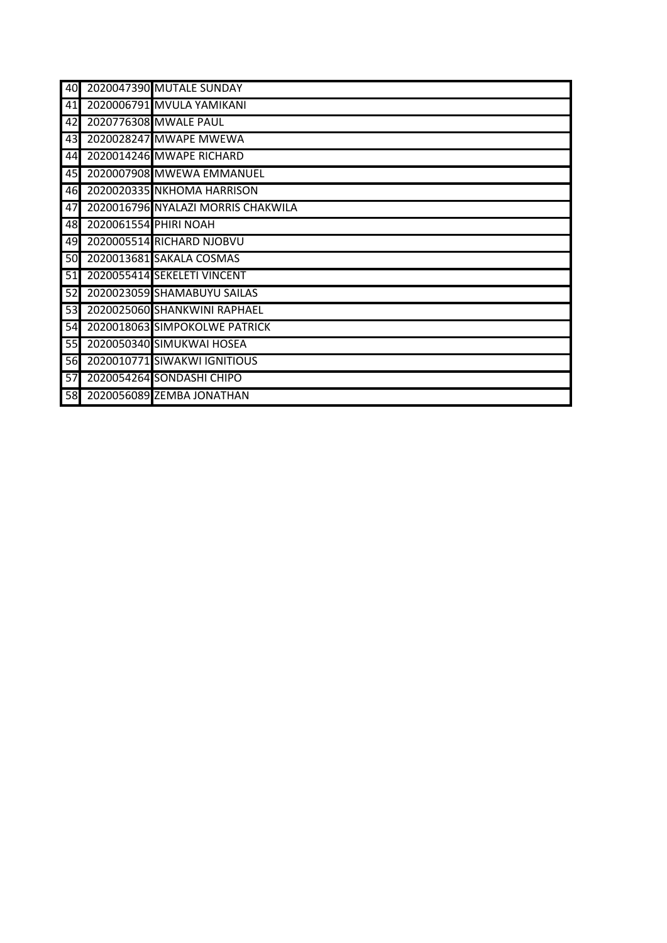| 40 |                       | 2020047390 MUTALE SUNDAY           |
|----|-----------------------|------------------------------------|
| 41 |                       | 2020006791 MVULA YAMIKANI          |
| 42 |                       | 2020776308 MWALE PAUL              |
| 43 |                       | 2020028247 MWAPE MWEWA             |
| 44 |                       | 2020014246 MWAPE RICHARD           |
| 45 |                       | 2020007908 MWEWA EMMANUEL          |
| 46 |                       | 2020020335 NKHOMA HARRISON         |
| 47 |                       | 2020016796 NYALAZI MORRIS CHAKWILA |
| 48 | 2020061554 PHIRI NOAH |                                    |
| 49 |                       | 2020005514 RICHARD NJOBVU          |
| 50 |                       | 2020013681 SAKALA COSMAS           |
| 51 |                       | 2020055414 SEKELETI VINCENT        |
| 52 |                       | 2020023059 SHAMABUYU SAILAS        |
| 53 |                       | 2020025060 SHANKWINI RAPHAEL       |
| 54 |                       | 2020018063 SIMPOKOLWE PATRICK      |
| 55 |                       | 2020050340 SIMUKWAI HOSEA          |
| 56 |                       | 2020010771 SIWAKWI IGNITIOUS       |
| 57 |                       | 2020054264 SONDASHI CHIPO          |
| 58 |                       | 2020056089 ZEMBA JONATHAN          |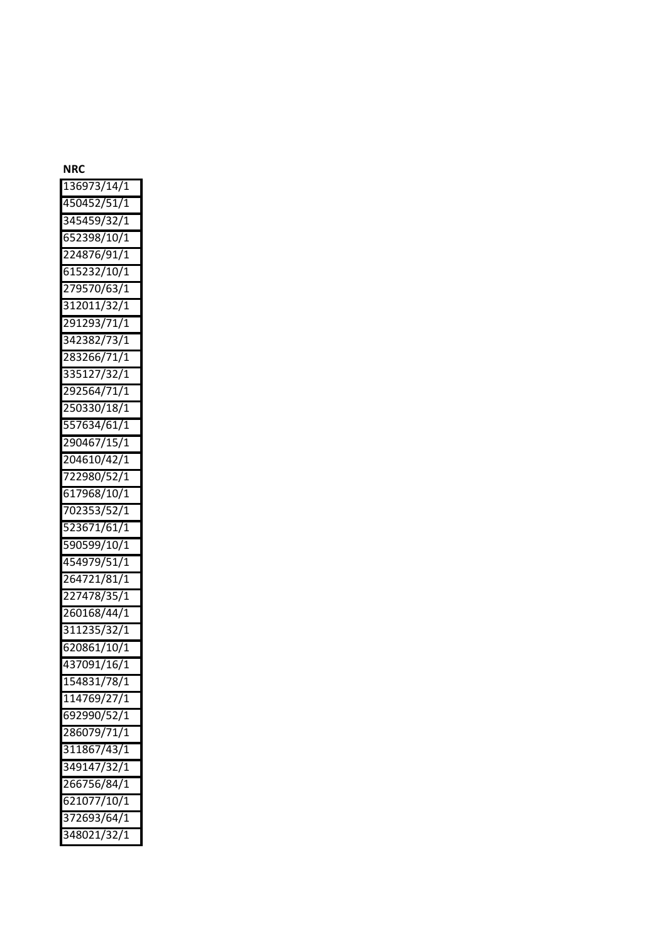## **NRC**

| 136973/14/1 |
|-------------|
| 450452/51/1 |
| 345459/32/1 |
| 652398/10/1 |
| 224876/91/1 |
| 615232/10/1 |
| 279570/63/1 |
| 312011/32/1 |
| 291293/71/1 |
| 342382/73/1 |
| 283266/71/1 |
| 335127/32/1 |
| 292564/71/1 |
| 250330/18/1 |
| 557634/61/1 |
| 290467/15/1 |
| 204610/42/1 |
| 722980/52/1 |
| 617968/10/1 |
| 702353/52/1 |
| 523671/61/1 |
| 590599/10/1 |
| 454979/51/1 |
| 264721/81/1 |
| 227478/35/1 |
| 260168/44/1 |
| 311235/32/1 |
| 620861/10/1 |
| 437091/16/1 |
| 154831/78/1 |
| 114769/27/1 |
| 692990/52/1 |
| 286079/71/1 |
| 311867/43/1 |
| 349147/32/1 |
| 266756/84/1 |
| 621077/10/1 |
| 372693/64/1 |
| 348021/32/1 |
|             |